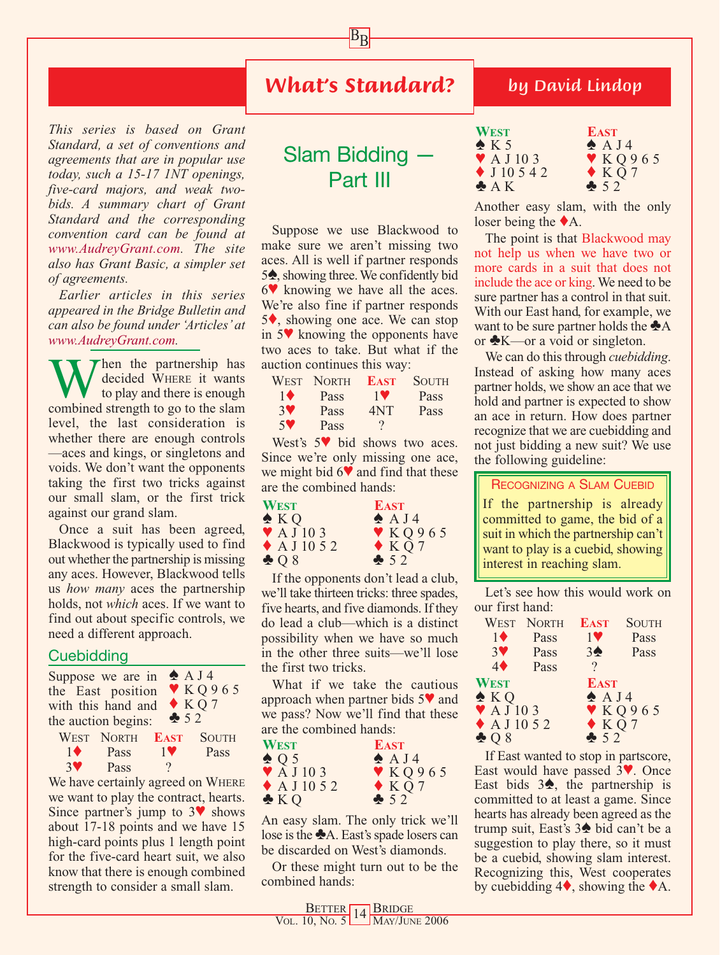## *What's Standard?*

 $B_{\underline{B}}$ 

*This series is based on Grant Standard, a set of conventions and agreements that are in popular use today, such a 15-17 1NT openings, five-card majors, and weak twobids. A summary chart of Grant Standard and the corresponding convention card can be found at www.AudreyGrant.com. The site also has Grant Basic, a simpler set of agreements.*

*Earlier articles in this series appeared in the Bridge Bulletin and can also be found under 'Articles' at www.AudreyGrant.com.*

Then the partnership has decided WHERE it wants to play and there is enough combined strength to go to the slam level, the last consideration is whether there are enough controls —aces and kings, or singletons and voids. We don't want the opponents taking the first two tricks against our small slam, or the first trick against our grand slam.

Once a suit has been agreed, Blackwood is typically used to find out whether the partnership is missing any aces. However, Blackwood tells us *how many* aces the partnership holds, not *which* aces. If we want to find out about specific controls, we need a different approach.

#### **Cuebidding**

|                   | Suppose we are in $\triangle$ A J 4<br>the East position<br>with this hand and<br>the auction begins: | 52                                          | $\blacktriangledown$ KQ965<br>$\triangle KQ7$ |
|-------------------|-------------------------------------------------------------------------------------------------------|---------------------------------------------|-----------------------------------------------|
| $1 \bullet$<br>37 | WEST NORTH<br>Pass<br>Pass                                                                            | <b>EAST</b> SOUTH<br>$1$ V<br>$\mathcal{P}$ | Pass                                          |

We have certainly agreed on WHERE we want to play the contract, hearts. Since partner's jump to  $3\blacktriangledown$  shows about 17-18 points and we have 15 high-card points plus 1 length point for the five-card heart suit, we also know that there is enough combined strength to consider a small slam.

# Slam Bidding — Part III

Suppose we use Blackwood to make sure we aren't missing two aces. All is well if partner responds 5<sup>**♦**, showing three. We confidently bid</sup> 6♥ knowing we have all the aces. We're also fine if partner responds 5♦, showing one ace. We can stop in 5♥ knowing the opponents have two aces to take. But what if the auction continues this way:

|           | WEST NORTH | <b>EAST</b> | <b>SOUTH</b> |
|-----------|------------|-------------|--------------|
| 10        | Pass       | <b>1V</b>   | Pass         |
| <b>3V</b> | Pass       | 4NT         | Pass         |
| $5$ V     | Pass       |             |              |

West's 5♥ bid shows two aces. Since we're only missing one ace, we might bid 6♥ and find that these are the combined hands:

| <b>WEST</b>                   | <b>EAST</b>     |
|-------------------------------|-----------------|
| $\triangle KQ$                | $\triangle$ AJ4 |
| $\blacktriangledown$ A J 10 3 | V K Q 965       |
| $\blacklozenge$ A J 10 5 2    | $\triangle KQ7$ |
| $\clubsuit$ Q 8               | $\clubsuit$ 52  |

If the opponents don't lead a club, we'll take thirteen tricks: three spades, five hearts, and five diamonds. If they do lead a club—which is a distinct possibility when we have so much in the other three suits—we'll lose the first two tricks.

What if we take the cautious approach when partner bids 5♥ and we pass? Now we'll find that these are the combined hands:

| <b>WEST</b>                   | <b>EAST</b>     |
|-------------------------------|-----------------|
| $\triangle$ Q 5               | $\triangle$ AJ4 |
| $\blacktriangledown$ A J 10 3 | Y K Q 965       |
| $\blacklozenge$ A J 10 5 2    | $\triangle KQ7$ |
| $\triangle KQ$                | 52              |

An easy slam. The only trick we'll lose is the  $\triangle$ A. East's spade losers can be discarded on West's diamonds.

Or these might turn out to be the combined hands:

### *by David Lindop*

| WEST                          | <b>EAST</b>     |
|-------------------------------|-----------------|
| $\triangle$ K 5               | $\triangle$ AJ4 |
| $\blacktriangledown$ A J 10 3 | Y K Q 965       |
| $\blacklozenge$ J 10 5 4 2    | $\triangle KQ7$ |
| $\triangle A K$               | 252             |

Another easy slam, with the only loser being the ♦A.

The point is that Blackwood may not help us when we have two or more cards in a suit that does not include the ace or king. We need to be sure partner has a control in that suit. With our East hand, for example, we want to be sure partner holds the  $\triangle$ A or ♣K—or a void or singleton.

We can do this through *cuebidding*. Instead of asking how many aces partner holds, we show an ace that we hold and partner is expected to show an ace in return. How does partner recognize that we are cuebidding and not just bidding a new suit? We use the following guideline:

#### RECOGNIZING A SLAM CUEBID

If the partnership is already committed to game, the bid of a suit in which the partnership can't want to play is a cuebid, showing interest in reaching slam.

Let's see how this would work on our first hand:

|                               | <b>WEST NORTH</b> | <b>EAST</b>          | <b>SOUTH</b> |
|-------------------------------|-------------------|----------------------|--------------|
| $1\blacklozenge$              | Pass              | $1$ V                | Pass         |
| 3 <sup>4</sup>                | Pass              | 3 <sub>2</sub>       | Pass         |
| $4\blacklozenge$              | Pass              | $\gamma$             |              |
| <b>WEST</b>                   |                   | <b>EAST</b>          |              |
| $\triangle KQ$                |                   | A J4                 |              |
| $\blacktriangledown$ A J 10 3 |                   |                      | Y K Q 965    |
| $\blacklozenge$ A J 10 5 2    |                   | $\blacklozenge$ KQ 7 |              |
| $\clubsuit$ Q 8               |                   | 52                   |              |

If East wanted to stop in partscore, East would have passed 3♥. Once East bids  $3\spadesuit$ , the partnership is committed to at least a game. Since hearts has already been agreed as the trump suit, East's 3♠ bid can't be a suggestion to play there, so it must be a cuebid, showing slam interest. Recognizing this, West cooperates by cuebidding  $4\blacklozenge$ , showing the  $\blacklozenge$ A.